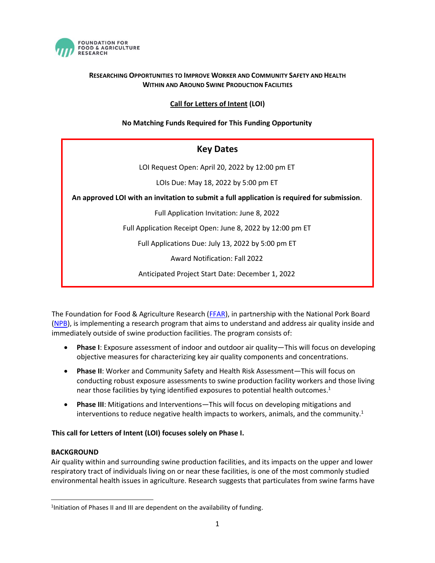

## **RESEARCHING OPPORTUNITIES TO IMPROVE WORKER AND COMMUNITY SAFETY AND HEALTH WITHIN AND AROUND SWINE PRODUCTION FACILITIES**

# **Call for Letters of Intent (LOI)**

## **No Matching Funds Required for This Funding Opportunity**

| <b>Key Dates</b>                                                                            |
|---------------------------------------------------------------------------------------------|
| LOI Request Open: April 20, 2022 by 12:00 pm ET                                             |
| LOIs Due: May 18, 2022 by 5:00 pm ET                                                        |
| An approved LOI with an invitation to submit a full application is required for submission. |
| Full Application Invitation: June 8, 2022                                                   |
| Full Application Receipt Open: June 8, 2022 by 12:00 pm ET                                  |
| Full Applications Due: July 13, 2022 by 5:00 pm ET                                          |
| <b>Award Notification: Fall 2022</b>                                                        |
| Anticipated Project Start Date: December 1, 2022                                            |

The Foundation for Food & Agriculture Research [\(FFAR\)](https://foundationfar.org/), in partnership with the National Pork Board [\(NPB\)](https://pork.org/), is implementing a research program that aims to understand and address air quality inside and immediately outside of swine production facilities. The program consists of:

- **Phase I**: Exposure assessment of indoor and outdoor air quality—This will focus on developing objective measures for characterizing key air quality components and concentrations.
- **Phase II**: Worker and Community Safety and Health Risk Assessment—This will focus on conducting robust exposure assessments to swine production facility workers and those living near those facilities by tying identified exposures to potential health outcomes.<sup>1</sup>
- **Phase III**: Mitigations and Interventions—This will focus on developing mitigations and interventions to reduce negative health impacts to workers, animals, and the community.<sup>1</sup>

### **This call for Letters of Intent (LOI) focuses solely on Phase I.**

### **BACKGROUND**

Air quality within and surrounding swine production facilities, and its impacts on the upper and lower respiratory tract of individuals living on or near these facilities, is one of the most commonly studied environmental health issues in agriculture. Research suggests that particulates from swine farms have

<sup>&</sup>lt;sup>1</sup>Initiation of Phases II and III are dependent on the availability of funding.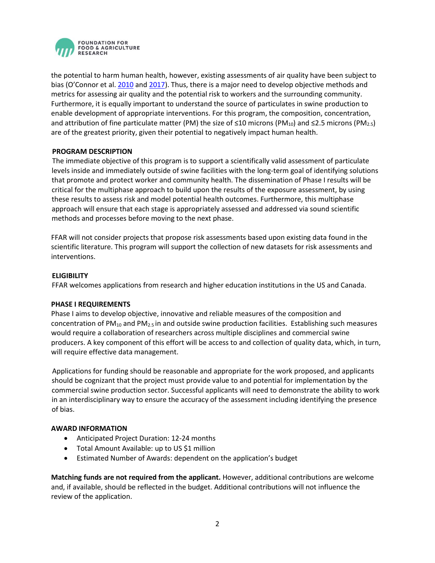

the potential to harm human health, however, existing assessments of air quality have been subject to bias (O'Connor et al. [2010](https://journals.plos.org/plosone/article?id=10.1371/journal.pone.0009530#s2) and [2017\)](https://www.ncbi.nlm.nih.gov/pmc/articles/PMC5395850/pdf/13643_2017_Article_465.pdf). Thus, there is a major need to develop objective methods and metrics for assessing air quality and the potential risk to workers and the surrounding community. Furthermore, it is equally important to understand the source of particulates in swine production to enable development of appropriate interventions. For this program, the composition, concentration, and attribution of fine particulate matter (PM) the size of ≤10 microns (PM<sub>10</sub>) and ≤2.5 microns (PM<sub>2.5</sub>) are of the greatest priority, given their potential to negatively impact human health.

### **PROGRAM DESCRIPTION**

The immediate objective of this program is to support a scientifically valid assessment of particulate levels inside and immediately outside of swine facilities with the long-term goal of identifying solutions that promote and protect worker and community health. The dissemination of Phase I results will be critical for the multiphase approach to build upon the results of the exposure assessment, by using these results to assess risk and model potential health outcomes. Furthermore, this multiphase approach will ensure that each stage is appropriately assessed and addressed via sound scientific methods and processes before moving to the next phase.

FFAR will not consider projects that propose risk assessments based upon existing data found in the scientific literature. This program will support the collection of new datasets for risk assessments and interventions.

### **ELIGIBILITY**

FFAR welcomes applications from research and higher education institutions in the US and Canada.

### **PHASE I REQUIREMENTS**

Phase I aims to develop objective, innovative and reliable measures of the composition and concentration of  $PM_{10}$  and  $PM_{2.5}$  in and outside swine production facilities. Establishing such measures would require a collaboration of researchers across multiple disciplines and commercial swine producers. A key component of this effort will be access to and collection of quality data, which, in turn, will require effective data management.

Applications for funding should be reasonable and appropriate for the work proposed, and applicants should be cognizant that the project must provide value to and potential for implementation by the commercial swine production sector. Successful applicants will need to demonstrate the ability to work in an interdisciplinary way to ensure the accuracy of the assessment including identifying the presence of bias.

### **AWARD INFORMATION**

- Anticipated Project Duration: 12-24 months
- Total Amount Available: up to US \$1 million
- Estimated Number of Awards: dependent on the application's budget

**Matching funds are not required from the applicant.** However, additional contributions are welcome and, if available, should be reflected in the budget. Additional contributions will not influence the review of the application.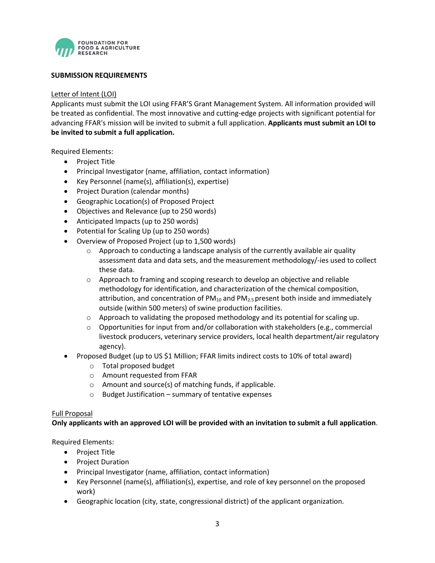

### **SUBMISSION REQUIREMENTS**

#### Letter of Intent (LOI)

Applicants must submit the LOI using FFAR'S Grant Management System. All information provided will be treated as confidential. The most innovative and cutting-edge projects with significant potential for advancing FFAR's mission will be invited to submit a full application. **Applicants must submit an LOI to be invited to submit a full application.**

Required Elements:

- Project Title
- Principal Investigator (name, affiliation, contact information)
- Key Personnel (name(s), affiliation(s), expertise)
- Project Duration (calendar months)
- Geographic Location(s) of Proposed Project
- Objectives and Relevance (up to 250 words)
- Anticipated Impacts (up to 250 words)
- Potential for Scaling Up (up to 250 words)
- Overview of Proposed Project (up to 1,500 words)
	- $\circ$  Approach to conducting a landscape analysis of the currently available air quality assessment data and data sets, and the measurement methodology/-ies used to collect these data.
	- o Approach to framing and scoping research to develop an objective and reliable methodology for identification, and characterization of the chemical composition, attribution, and concentration of  $PM_{10}$  and  $PM_{2.5}$  present both inside and immediately outside (within 500 meters) of swine production facilities.
	- $\circ$  Approach to validating the proposed methodology and its potential for scaling up.
	- $\circ$  Opportunities for input from and/or collaboration with stakeholders (e.g., commercial livestock producers, veterinary service providers, local health department/air regulatory agency).
- Proposed Budget (up to US \$1 Million; FFAR limits indirect costs to 10% of total award)
	- o Total proposed budget
	- o Amount requested from FFAR
	- o Amount and source(s) of matching funds, if applicable.
	- o Budget Justification summary of tentative expenses

#### Full Proposal

**Only applicants with an approved LOI will be provided with an invitation to submit a full application**.

Required Elements:

- Project Title
- Project Duration
- Principal Investigator (name, affiliation, contact information)
- Key Personnel (name(s), affiliation(s), expertise, and role of key personnel on the proposed work)
- Geographic location (city, state, congressional district) of the applicant organization.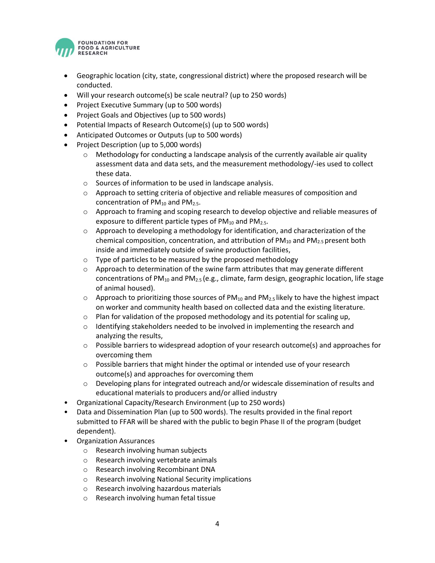

- Geographic location (city, state, congressional district) where the proposed research will be conducted.
- Will your research outcome(s) be scale neutral? (up to 250 words)
- Project Executive Summary (up to 500 words)
- Project Goals and Objectives (up to 500 words)
- Potential Impacts of Research Outcome(s) (up to 500 words)
- Anticipated Outcomes or Outputs (up to 500 words)
- Project Description (up to 5,000 words)
	- o Methodology for conducting a landscape analysis of the currently available air quality assessment data and data sets, and the measurement methodology/-ies used to collect these data.
	- o Sources of information to be used in landscape analysis.
	- $\circ$  Approach to setting criteria of objective and reliable measures of composition and concentration of  $PM_{10}$  and  $PM_{2.5}$ .
	- o Approach to framing and scoping research to develop objective and reliable measures of exposure to different particle types of  $PM_{10}$  and  $PM_{2.5}$ .
	- o Approach to developing a methodology for identification, and characterization of the chemical composition, concentration, and attribution of  $PM_{10}$  and  $PM_{2.5}$  present both inside and immediately outside of swine production facilities,
	- o Type of particles to be measured by the proposed methodology
	- $\circ$  Approach to determination of the swine farm attributes that may generate different concentrations of PM<sub>10</sub> and PM<sub>2.5</sub> (e.g., climate, farm design, geographic location, life stage of animal housed).
	- $\circ$  Approach to prioritizing those sources of PM<sub>10</sub> and PM<sub>2.5</sub> likely to have the highest impact on worker and community health based on collected data and the existing literature.
	- o Plan for validation of the proposed methodology and its potential for scaling up,
	- $\circ$  Identifying stakeholders needed to be involved in implementing the research and analyzing the results,
	- o Possible barriers to widespread adoption of your research outcome(s) and approaches for overcoming them
	- $\circ$  Possible barriers that might hinder the optimal or intended use of your research outcome(s) and approaches for overcoming them
	- o Developing plans for integrated outreach and/or widescale dissemination of results and educational materials to producers and/or allied industry
- Organizational Capacity/Research Environment (up to 250 words)
- Data and Dissemination Plan (up to 500 words). The results provided in the final report submitted to FFAR will be shared with the public to begin Phase II of the program (budget dependent).
- Organization Assurances
	- o Research involving human subjects
	- o Research involving vertebrate animals
	- o Research involving Recombinant DNA
	- o Research involving National Security implications
	- o Research involving hazardous materials
	- o Research involving human fetal tissue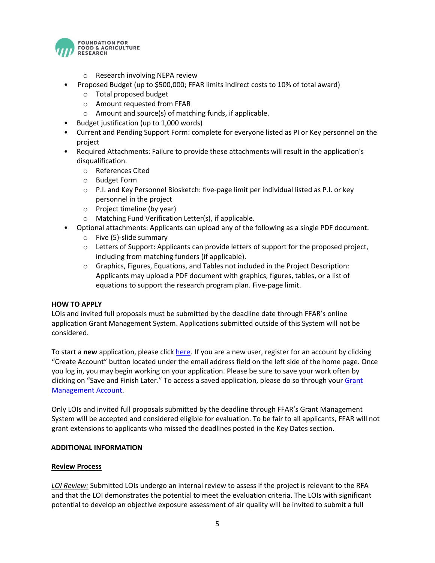

- o Research involving NEPA review
- Proposed Budget (up to \$500,000; FFAR limits indirect costs to 10% of total award)
	- o Total proposed budget
	- o Amount requested from FFAR
	- o Amount and source(s) of matching funds, if applicable.
- Budget justification (up to 1,000 words)
- Current and Pending Support Form: complete for everyone listed as PI or Key personnel on the project
- Required Attachments: Failure to provide these attachments will result in the application's disqualification.
	- o References Cited
	- o Budget Form
	- o P.I. and Key Personnel Biosketch: five-page limit per individual listed as P.I. or key personnel in the project
	- o Project timeline (by year)
	- o Matching Fund Verification Letter(s), if applicable.
- Optional attachments: Applicants can upload any of the following as a single PDF document.
	- o Five (5)-slide summary
	- $\circ$  Letters of Support: Applicants can provide letters of support for the proposed project, including from matching funders (if applicable).
	- o Graphics, Figures, Equations, and Tables not included in the Project Description: Applicants may upload a PDF document with graphics, figures, tables, or a list of equations to support the research program plan. Five-page limit.

### **HOW TO APPLY**

LOIs and invited full proposals must be submitted by the deadline date through FFAR's online application Grant Management System. Applications submitted outside of this System will not be considered.

To start a **new** application, please click [here.](https://www.grantrequest.com/SID_6242?SA=SNA&FID=35075) If you are a new user, register for an account by clicking "Create Account" button located under the email address field on the left side of the home page. Once you log in, you may begin working on your application. Please be sure to save your work often by clicking on "Save and Finish Later." To access a saved application, please do so through your [Grant](https://www.grantrequest.com/SID_6242)  [Management Account.](https://www.grantrequest.com/SID_6242)

Only LOIs and invited full proposals submitted by the deadline through FFAR's Grant Management System will be accepted and considered eligible for evaluation. To be fair to all applicants, FFAR will not grant extensions to applicants who missed the deadlines posted in the Key Dates section.

### **ADDITIONAL INFORMATION**

#### **Review Process**

*LOI Review:* Submitted LOIs undergo an internal review to assess if the project is relevant to the RFA and that the LOI demonstrates the potential to meet the evaluation criteria. The LOIs with significant potential to develop an objective exposure assessment of air quality will be invited to submit a full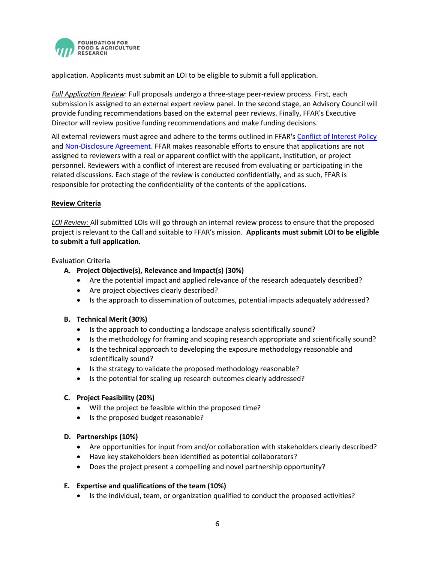

application. Applicants must submit an LOI to be eligible to submit a full application.

*Full Application Review*: Full proposals undergo a three-stage peer-review process. First, each submission is assigned to an external expert review panel. In the second stage, an Advisory Council will provide funding recommendations based on the external peer reviews. Finally, FFAR's Executive Director will review positive funding recommendations and make funding decisions.

All external reviewers must agree and adhere to the terms outlined in FFAR's [Conflict of Interest Policy](https://foundationfar.org/grants-funding/reviewer-conflict-of-interest-policies/) and [Non-Disclosure Agreement.](https://foundationfar.org/grants-funding/reviewer-non-disclosure-agreement/) FFAR makes reasonable efforts to ensure that applications are not assigned to reviewers with a real or apparent conflict with the applicant, institution, or project personnel. Reviewers with a conflict of interest are recused from evaluating or participating in the related discussions. Each stage of the review is conducted confidentially, and as such, FFAR is responsible for protecting the confidentiality of the contents of the applications.

## **Review Criteria**

*LOI Review:* All submitted LOIs will go through an internal review process to ensure that the proposed project is relevant to the Call and suitable to FFAR's mission. **Applicants must submit LOI to be eligible to submit a full application.**

#### Evaluation Criteria

- **A. Project Objective(s), Relevance and Impact(s) (30%)**
	- Are the potential impact and applied relevance of the research adequately described?
	- Are project objectives clearly described?
	- Is the approach to dissemination of outcomes, potential impacts adequately addressed?

### **B. Technical Merit (30%)**

- Is the approach to conducting a landscape analysis scientifically sound?
- Is the methodology for framing and scoping research appropriate and scientifically sound?
- Is the technical approach to developing the exposure methodology reasonable and scientifically sound?
- Is the strategy to validate the proposed methodology reasonable?
- Is the potential for scaling up research outcomes clearly addressed?

### **C. Project Feasibility (20%)**

- Will the project be feasible within the proposed time?
- Is the proposed budget reasonable?

### **D. Partnerships (10%)**

- Are opportunities for input from and/or collaboration with stakeholders clearly described?
- Have key stakeholders been identified as potential collaborators?
- Does the project present a compelling and novel partnership opportunity?

### **E. Expertise and qualifications of the team (10%)**

• Is the individual, team, or organization qualified to conduct the proposed activities?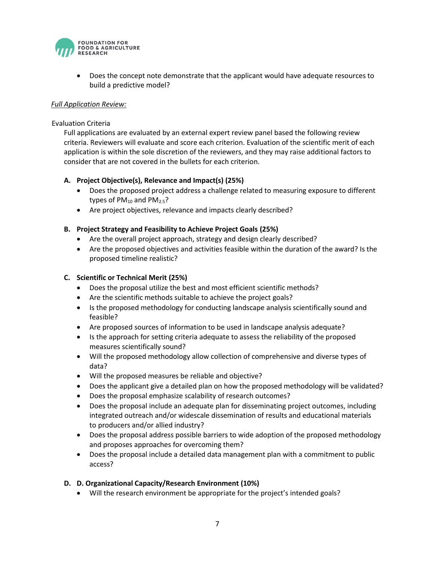

• Does the concept note demonstrate that the applicant would have adequate resources to build a predictive model?

### *Full Application Review:*

#### Evaluation Criteria

Full applications are evaluated by an external expert review panel based the following review criteria. Reviewers will evaluate and score each criterion. Evaluation of the scientific merit of each application is within the sole discretion of the reviewers, and they may raise additional factors to consider that are not covered in the bullets for each criterion.

### **A. Project Objective(s), Relevance and Impact(s) (25%)**

- Does the proposed project address a challenge related to measuring exposure to different types of  $PM_{10}$  and  $PM_{2.5}$ ?
- Are project objectives, relevance and impacts clearly described?

#### **B. Project Strategy and Feasibility to Achieve Project Goals (25%)**

- Are the overall project approach, strategy and design clearly described?
- Are the proposed objectives and activities feasible within the duration of the award? Is the proposed timeline realistic?

### **C. Scientific or Technical Merit (25%)**

- Does the proposal utilize the best and most efficient scientific methods?
- Are the scientific methods suitable to achieve the project goals?
- Is the proposed methodology for conducting landscape analysis scientifically sound and feasible?
- Are proposed sources of information to be used in landscape analysis adequate?
- Is the approach for setting criteria adequate to assess the reliability of the proposed measures scientifically sound?
- Will the proposed methodology allow collection of comprehensive and diverse types of data?
- Will the proposed measures be reliable and objective?
- Does the applicant give a detailed plan on how the proposed methodology will be validated?
- Does the proposal emphasize scalability of research outcomes?
- Does the proposal include an adequate plan for disseminating project outcomes, including integrated outreach and/or widescale dissemination of results and educational materials to producers and/or allied industry?
- Does the proposal address possible barriers to wide adoption of the proposed methodology and proposes approaches for overcoming them?
- Does the proposal include a detailed data management plan with a commitment to public access?

### **D. D. Organizational Capacity/Research Environment (10%)**

• Will the research environment be appropriate for the project's intended goals?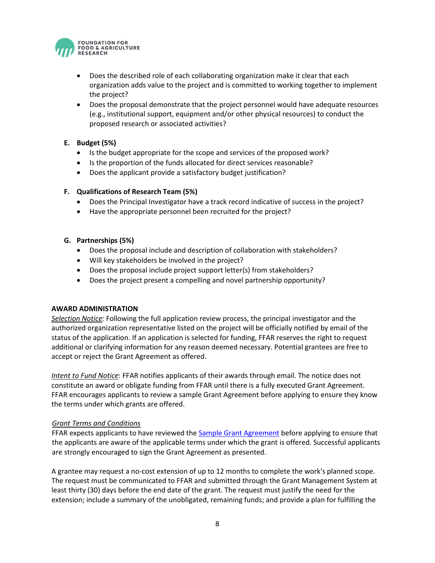

- Does the described role of each collaborating organization make it clear that each organization adds value to the project and is committed to working together to implement the project?
- Does the proposal demonstrate that the project personnel would have adequate resources (e.g., institutional support, equipment and/or other physical resources) to conduct the proposed research or associated activities?

## **E. Budget (5%)**

- Is the budget appropriate for the scope and services of the proposed work?
- Is the proportion of the funds allocated for direct services reasonable?
- Does the applicant provide a satisfactory budget justification?

### **F. Qualifications of Research Team (5%)**

- Does the Principal Investigator have a track record indicative of success in the project?
- Have the appropriate personnel been recruited for the project?
- **G. Partnerships (5%)**
	- Does the proposal include and description of collaboration with stakeholders?
	- Will key stakeholders be involved in the project?
	- Does the proposal include project support letter(s) from stakeholders?
	- Does the project present a compelling and novel partnership opportunity?

### **AWARD ADMINISTRATION**

*Selection Notice*: Following the full application review process, the principal investigator and the authorized organization representative listed on the project will be officially notified by email of the status of the application. If an application is selected for funding, FFAR reserves the right to request additional or clarifying information for any reason deemed necessary. Potential grantees are free to accept or reject the Grant Agreement as offered.

*Intent to Fund Notice*: FFAR notifies applicants of their awards through email. The notice does not constitute an award or obligate funding from FFAR until there is a fully executed Grant Agreement. FFAR encourages applicants to review a sample Grant Agreement before applying to ensure they know the terms under which grants are offered.

### *Grant Terms and Conditions*

FFAR expects applicants to have reviewed the [Sample Grant Agreement](https://foundationfar.org/grants-funding/resources/forms-and-examples/) before applying to ensure that the applicants are aware of the applicable terms under which the grant is offered. Successful applicants are strongly encouraged to sign the Grant Agreement as presented.

A grantee may request a no-cost extension of up to 12 months to complete the work's planned scope. The request must be communicated to FFAR and submitted through the Grant Management System at least thirty (30) days before the end date of the grant. The request must justify the need for the extension; include a summary of the unobligated, remaining funds; and provide a plan for fulfilling the